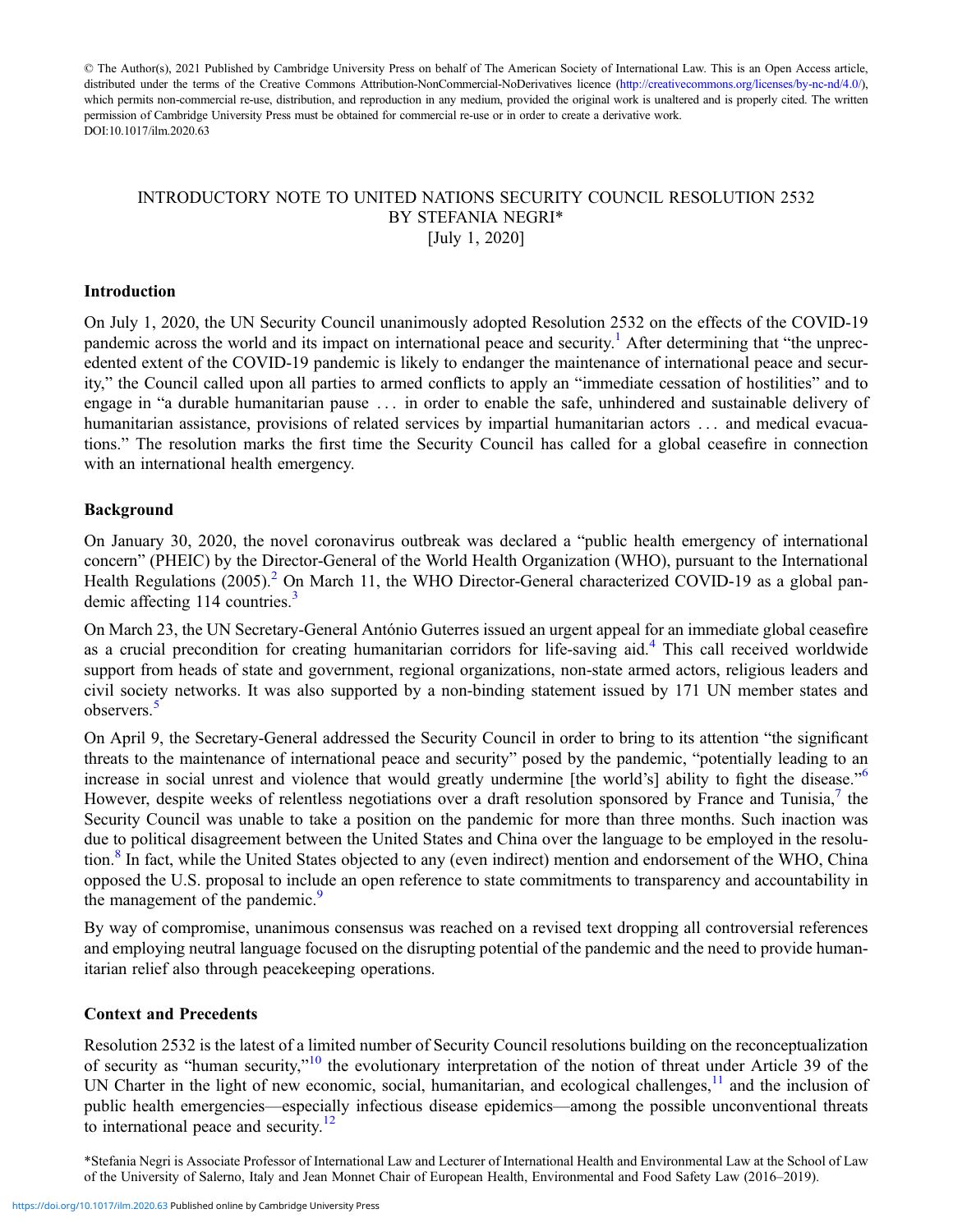© The Author(s), 2021 Published by Cambridge University Press on behalf of The American Society of International Law. This is an Open Access article, distributed under the terms of the Creative Commons Attribution-NonCommercial-NoDerivatives licence [\(http://creativecommons.org/licenses/by-nc-nd/4.0/](http://creativecommons.org/licenses/by-nc-nd/4.0/)), which permits non-commercial re-use, distribution, and reproduction in any medium, provided the original work is unaltered and is properly cited. The written permission of Cambridge University Press must be obtained for commercial re-use or in order to create a derivative work. DOI:10.1017/ilm.2020.63

## INTRODUCTORY NOTE TO UNITED NATIONS SECURITY COUNCIL RESOLUTION 2532 BY STEFANIA NEGRI\* [July 1, 2020]

#### Introduction

On July 1, 2020, the UN Security Council unanimously adopted Resolution 2532 on the effects of the COVID-19 pandemic across the world and its impact on international peace and security.<sup>1</sup> After determining that "the unprecedented extent of the COVID-19 pandemic is likely to endanger the maintenance of international peace and security," the Council called upon all parties to armed conflicts to apply an "immediate cessation of hostilities" and to engage in "a durable humanitarian pause . . . in order to enable the safe, unhindered and sustainable delivery of humanitarian assistance, provisions of related services by impartial humanitarian actors . . . and medical evacuations." The resolution marks the first time the Security Council has called for a global ceasefire in connection with an international health emergency.

#### Background

On January 30, 2020, the novel coronavirus outbreak was declared a "public health emergency of international concern" (PHEIC) by the Director-General of the World Health Organization (WHO), pursuant to the International Health Regulations  $(2005)^2$  $(2005)^2$  $(2005)^2$  On March 11, the WHO Director-General characterized COVID-19 as a global pan-demic affecting 114 countries.<sup>[3](#page-2-0)</sup>

On March 23, the UN Secretary-General António Guterres issued an urgent appeal for an immediate global ceasefire as a crucial precondition for creating humanitarian corridors for life-saving aid.<sup>[4](#page-2-0)</sup> This call received worldwide support from heads of state and government, regional organizations, non-state armed actors, religious leaders and civil society networks. It was also supported by a non-binding statement issued by 171 UN member states and observers.[5](#page-2-0)

On April 9, the Secretary-General addressed the Security Council in order to bring to its attention "the significant threats to the maintenance of international peace and security" posed by the pandemic, "potentially leading to an increase in social unrest and violence that would greatly undermine [the world's] ability to fight the disease."<sup>[6](#page-2-0)</sup> However, despite weeks of relentless negotiations over a draft resolution sponsored by France and Tunisia,<sup>[7](#page-2-0)</sup> the Security Council was unable to take a position on the pandemic for more than three months. Such inaction was due to political disagreement between the United States and China over the language to be employed in the resolu-tion.<sup>[8](#page-2-0)</sup> In fact, while the United States objected to any (even indirect) mention and endorsement of the WHO, China opposed the U.S. proposal to include an open reference to state commitments to transparency and accountability in the management of the pandemic.<sup>[9](#page-2-0)</sup>

By way of compromise, unanimous consensus was reached on a revised text dropping all controversial references and employing neutral language focused on the disrupting potential of the pandemic and the need to provide humanitarian relief also through peacekeeping operations.

#### Context and Precedents

Resolution 2532 is the latest of a limited number of Security Council resolutions building on the reconceptualization of security as "human security,"<sup>[10](#page-2-0)</sup> the evolutionary interpretation of the notion of threat under Article 39 of the UN Charter in the light of new economic, social, humanitarian, and ecological challenges, $11$  and the inclusion of public health emergencies—especially infectious disease epidemics—among the possible unconventional threats to international peace and security. $12$ 

\*Stefania Negri is Associate Professor of International Law and Lecturer of International Health and Environmental Law at the School of Law of the University of Salerno, Italy and Jean Monnet Chair of European Health, Environmental and Food Safety Law (2016–2019).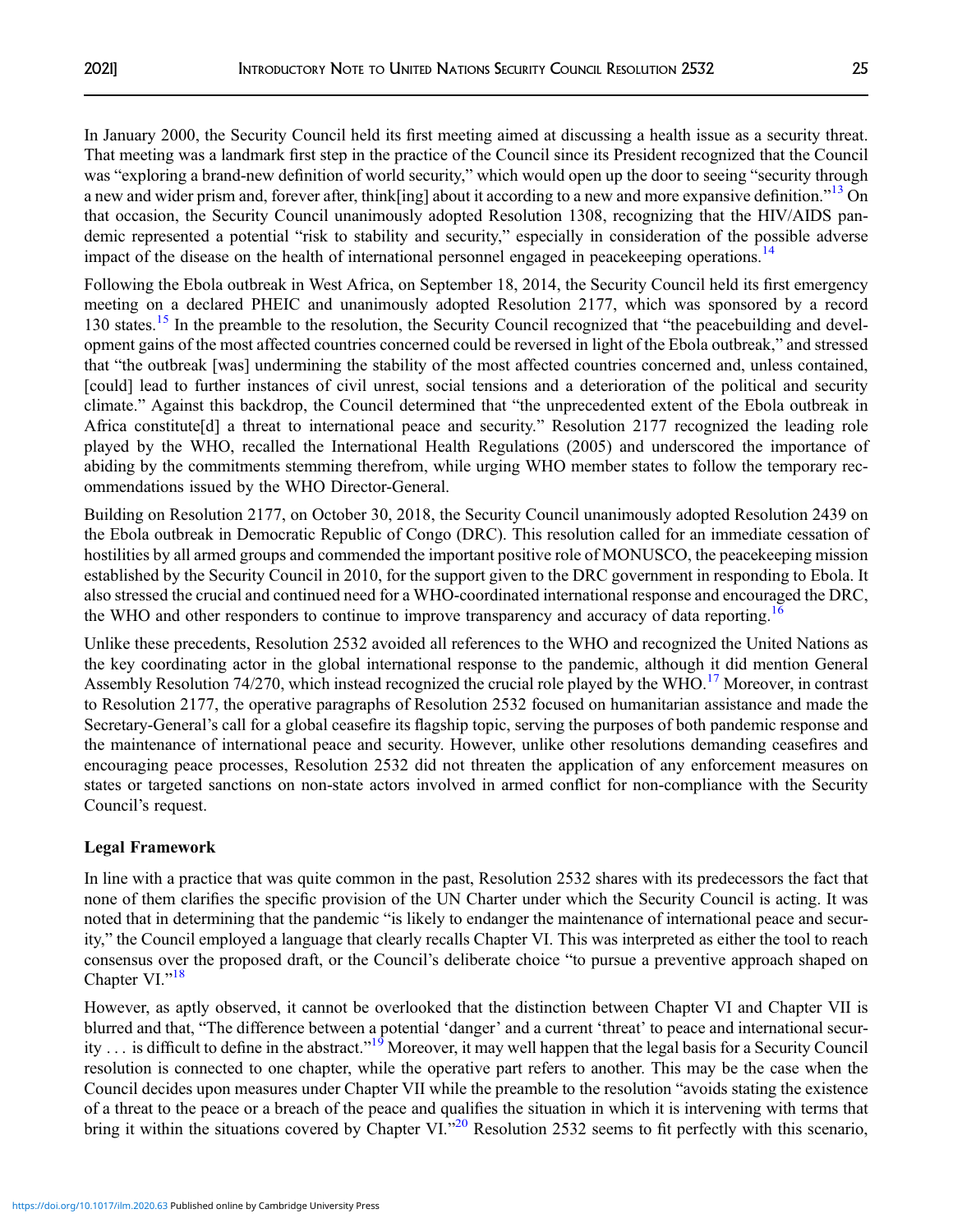In January 2000, the Security Council held its first meeting aimed at discussing a health issue as a security threat. That meeting was a landmark first step in the practice of the Council since its President recognized that the Council was "exploring a brand-new definition of world security," which would open up the door to seeing "security through a new and wider prism and, forever after, think[ing] about it according to a new and more expansive definition."<sup>[13](#page-3-0)</sup> On that occasion, the Security Council unanimously adopted Resolution 1308, recognizing that the HIV/AIDS pandemic represented a potential "risk to stability and security," especially in consideration of the possible adverse impact of the disease on the health of international personnel engaged in peacekeeping operations.<sup>[14](#page-3-0)</sup>

Following the Ebola outbreak in West Africa, on September 18, 2014, the Security Council held its first emergency meeting on a declared PHEIC and unanimously adopted Resolution 2177, which was sponsored by a record 130 states.<sup>[15](#page-3-0)</sup> In the preamble to the resolution, the Security Council recognized that "the peacebuilding and development gains of the most affected countries concerned could be reversed in light of the Ebola outbreak," and stressed that "the outbreak [was] undermining the stability of the most affected countries concerned and, unless contained, [could] lead to further instances of civil unrest, social tensions and a deterioration of the political and security climate." Against this backdrop, the Council determined that "the unprecedented extent of the Ebola outbreak in Africa constitute[d] a threat to international peace and security." Resolution 2177 recognized the leading role played by the WHO, recalled the International Health Regulations (2005) and underscored the importance of abiding by the commitments stemming therefrom, while urging WHO member states to follow the temporary recommendations issued by the WHO Director-General.

Building on Resolution 2177, on October 30, 2018, the Security Council unanimously adopted Resolution 2439 on the Ebola outbreak in Democratic Republic of Congo (DRC). This resolution called for an immediate cessation of hostilities by all armed groups and commended the important positive role of MONUSCO, the peacekeeping mission established by the Security Council in 2010, for the support given to the DRC government in responding to Ebola. It also stressed the crucial and continued need for a WHO-coordinated international response and encouraged the DRC, the WHO and other responders to continue to improve transparency and accuracy of data reporting.<sup>[16](#page-3-0)</sup>

Unlike these precedents, Resolution 2532 avoided all references to the WHO and recognized the United Nations as the key coordinating actor in the global international response to the pandemic, although it did mention General Assembly Resolution 74/270, which instead recognized the crucial role played by the WHO.<sup>[17](#page-3-0)</sup> Moreover, in contrast to Resolution 2177, the operative paragraphs of Resolution 2532 focused on humanitarian assistance and made the Secretary-General's call for a global ceasefire its flagship topic, serving the purposes of both pandemic response and the maintenance of international peace and security. However, unlike other resolutions demanding ceasefires and encouraging peace processes, Resolution 2532 did not threaten the application of any enforcement measures on states or targeted sanctions on non-state actors involved in armed conflict for non-compliance with the Security Council's request.

# Legal Framework

In line with a practice that was quite common in the past, Resolution 2532 shares with its predecessors the fact that none of them clarifies the specific provision of the UN Charter under which the Security Council is acting. It was noted that in determining that the pandemic "is likely to endanger the maintenance of international peace and security," the Council employed a language that clearly recalls Chapter VI. This was interpreted as either the tool to reach consensus over the proposed draft, or the Council's deliberate choice "to pursue a preventive approach shaped on Chapter VI."<sup>[18](#page-3-0)</sup>

However, as aptly observed, it cannot be overlooked that the distinction between Chapter VI and Chapter VII is blurred and that, "The difference between a potential 'danger' and a current 'threat' to peace and international secur-ity ... is difficult to define in the abstract."<sup>[19](#page-3-0)</sup> Moreover, it may well happen that the legal basis for a Security Council resolution is connected to one chapter, while the operative part refers to another. This may be the case when the Council decides upon measures under Chapter VII while the preamble to the resolution "avoids stating the existence of a threat to the peace or a breach of the peace and qualifies the situation in which it is intervening with terms that bring it within the situations covered by Chapter VI.<sup>3[20](#page-3-0)</sup> Resolution 2532 seems to fit perfectly with this scenario,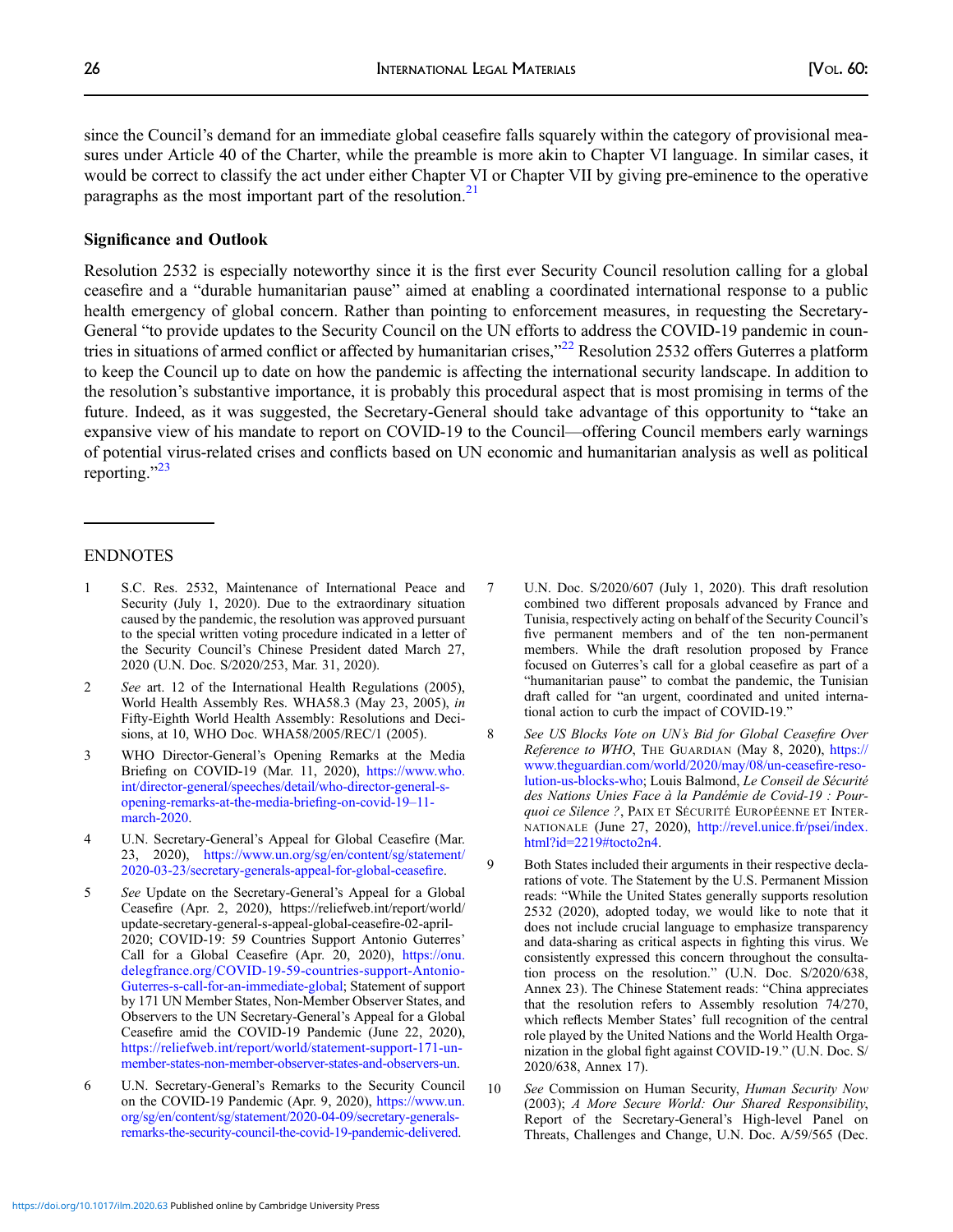<span id="page-2-0"></span>since the Council's demand for an immediate global ceasefire falls squarely within the category of provisional measures under Article 40 of the Charter, while the preamble is more akin to Chapter VI language. In similar cases, it would be correct to classify the act under either Chapter VI or Chapter VII by giving pre-eminence to the operative paragraphs as the most important part of the resolution.<sup>[21](#page-3-0)</sup>

#### Significance and Outlook

Resolution 2532 is especially noteworthy since it is the first ever Security Council resolution calling for a global ceasefire and a "durable humanitarian pause" aimed at enabling a coordinated international response to a public health emergency of global concern. Rather than pointing to enforcement measures, in requesting the Secretary-General "to provide updates to the Security Council on the UN efforts to address the COVID-19 pandemic in coun-tries in situations of armed conflict or affected by humanitarian crises,"<sup>[22](#page-3-0)</sup> Resolution 2532 offers Guterres a platform to keep the Council up to date on how the pandemic is affecting the international security landscape. In addition to the resolution's substantive importance, it is probably this procedural aspect that is most promising in terms of the future. Indeed, as it was suggested, the Secretary-General should take advantage of this opportunity to "take an expansive view of his mandate to report on COVID-19 to the Council—offering Council members early warnings of potential virus-related crises and conflicts based on UN economic and humanitarian analysis as well as political reporting."<sup>[23](#page-3-0)</sup>

#### ENDNOTES

- 1 S.C. Res. 2532, Maintenance of International Peace and Security (July 1, 2020). Due to the extraordinary situation caused by the pandemic, the resolution was approved pursuant to the special written voting procedure indicated in a letter of the Security Council's Chinese President dated March 27, 2020 (U.N. Doc. S/2020/253, Mar. 31, 2020).
- 2 See art. 12 of the International Health Regulations (2005), World Health Assembly Res. WHA58.3 (May 23, 2005), in Fifty-Eighth World Health Assembly: Resolutions and Decisions, at 10, WHO Doc. WHA58/2005/REC/1 (2005).
- 3 WHO Director-General's Opening Remarks at the Media Briefing on COVID-19 (Mar. 11, 2020), [https://www.who.](https://www.who.int/director-general/speeches/detail/who-director-general-s-opening-remarks-at-the-media-briefing-on-covid-19–11-march-2020) [int/director-general/speeches/detail/who-director-general-s](https://www.who.int/director-general/speeches/detail/who-director-general-s-opening-remarks-at-the-media-briefing-on-covid-19–11-march-2020)[opening-remarks-at-the-media-brie](https://www.who.int/director-general/speeches/detail/who-director-general-s-opening-remarks-at-the-media-briefing-on-covid-19–11-march-2020)fing-on-covid-19–11 [march-2020](https://www.who.int/director-general/speeches/detail/who-director-general-s-opening-remarks-at-the-media-briefing-on-covid-19–11-march-2020).
- 4 U.N. Secretary-General's Appeal for Global Ceasefire (Mar. 23, 2020), [https://www.un.org/sg/en/content/sg/statement/](https://www.un.org/sg/en/content/sg/statement/2020-03-23/secretary-generals-appeal-for-global-ceasefire) [2020-03-23/secretary-generals-appeal-for-global-cease](https://www.un.org/sg/en/content/sg/statement/2020-03-23/secretary-generals-appeal-for-global-ceasefire)fire.
- 5 See Update on the Secretary-General's Appeal for a Global Ceasefire (Apr. 2, 2020), https://reliefweb.int/report/world/ update-secretary-general-s-appeal-global-ceasefire-02-april-2020; COVID-19: 59 Countries Support Antonio Guterres' Call for a Global Ceasefire (Apr. 20, 2020), [https://onu.](https://onu.delegfrance.org/COVID-19-59-countries-support-Antonio-Guterres-s-call-for-an-immediate-global) [delegfrance.org/COVID-19-59-countries-support-Antonio-](https://onu.delegfrance.org/COVID-19-59-countries-support-Antonio-Guterres-s-call-for-an-immediate-global)[Guterres-s-call-for-an-immediate-global;](https://onu.delegfrance.org/COVID-19-59-countries-support-Antonio-Guterres-s-call-for-an-immediate-global) Statement of support by 171 UN Member States, Non-Member Observer States, and Observers to the UN Secretary-General's Appeal for a Global Ceasefire amid the COVID-19 Pandemic (June 22, 2020), [https://reliefweb.int/report/world/statement-support-171-un](https://reliefweb.int/report/world/statement-support-171-un-member-states-non-member-observer-states-and-observers-un)[member-states-non-member-observer-states-and-observers-un.](https://reliefweb.int/report/world/statement-support-171-un-member-states-non-member-observer-states-and-observers-un)
- 6 U.N. Secretary-General's Remarks to the Security Council on the COVID-19 Pandemic (Apr. 9, 2020), [https://www.un.](https://www.un.org/sg/en/content/sg/statement/2020-04-09/secretary-generals-remarks-the-security-council-the-covid-19-pandemic-delivered) [org/sg/en/content/sg/statement/2020-04-09/secretary-generals](https://www.un.org/sg/en/content/sg/statement/2020-04-09/secretary-generals-remarks-the-security-council-the-covid-19-pandemic-delivered)[remarks-the-security-council-the-covid-19-pandemic-delivered](https://www.un.org/sg/en/content/sg/statement/2020-04-09/secretary-generals-remarks-the-security-council-the-covid-19-pandemic-delivered).
- 7 U.N. Doc. S/2020/607 (July 1, 2020). This draft resolution combined two different proposals advanced by France and Tunisia, respectively acting on behalf of the Security Council's five permanent members and of the ten non-permanent members. While the draft resolution proposed by France focused on Guterres's call for a global ceasefire as part of a "humanitarian pause" to combat the pandemic, the Tunisian draft called for "an urgent, coordinated and united international action to curb the impact of COVID-19."
- 8 See US Blocks Vote on UN's Bid for Global Ceasefire Over Reference to WHO, THE GUARDIAN (May 8, 2020), [https://](https://www.theguardian.com/world/2020/may/08/un-ceasefire-resolution-us-blocks-who) [www.theguardian.com/world/2020/may/08/un-cease](https://www.theguardian.com/world/2020/may/08/un-ceasefire-resolution-us-blocks-who)fire-reso[lution-us-blocks-who](https://www.theguardian.com/world/2020/may/08/un-ceasefire-resolution-us-blocks-who); Louis Balmond, Le Conseil de Sécurité des Nations Unies Face à la Pandémie de Covid-19 : Pourquoi ce Silence ?, PAIX ET SÉCURITÉ EUROPÉENNE ET INTERNATIONALE (June 27, 2020), [http://revel.unice.fr/psei/index.](http://revel.unice.fr/psei/index.html?id=2219%23tocto2n4) [html?id=2219#tocto2n4.](http://revel.unice.fr/psei/index.html?id=2219%23tocto2n4)
- 9 Both States included their arguments in their respective declarations of vote. The Statement by the U.S. Permanent Mission reads: "While the United States generally supports resolution 2532 (2020), adopted today, we would like to note that it does not include crucial language to emphasize transparency and data-sharing as critical aspects in fighting this virus. We consistently expressed this concern throughout the consultation process on the resolution." (U.N. Doc. S/2020/638, Annex 23). The Chinese Statement reads: "China appreciates that the resolution refers to Assembly resolution 74/270, which reflects Member States' full recognition of the central role played by the United Nations and the World Health Organization in the global fight against COVID-19." (U.N. Doc. S/ 2020/638, Annex 17).
- 10 See Commission on Human Security, Human Security Now (2003); A More Secure World: Our Shared Responsibility, Report of the Secretary-General's High-level Panel on Threats, Challenges and Change, U.N. Doc. A/59/565 (Dec.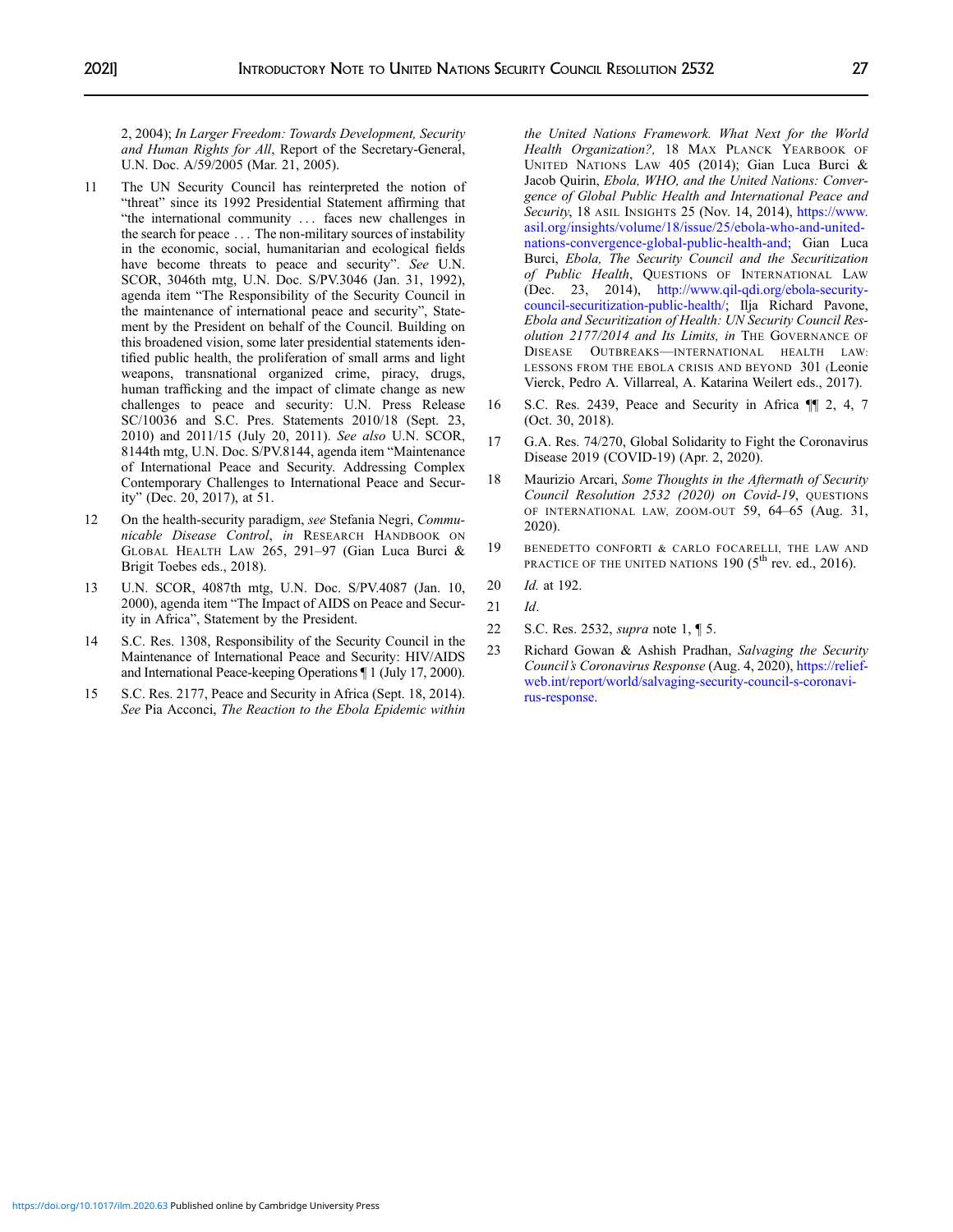<span id="page-3-0"></span>2, 2004); In Larger Freedom: Towards Development, Security and Human Rights for All, Report of the Secretary-General, U.N. Doc. A/59/2005 (Mar. 21, 2005).

- 11 The UN Security Council has reinterpreted the notion of "threat" since its 1992 Presidential Statement affirming that "the international community . . . faces new challenges in the search for peace . . . The non-military sources of instability in the economic, social, humanitarian and ecological fields have become threats to peace and security". See U.N. SCOR, 3046th mtg, U.N. Doc. S/PV.3046 (Jan. 31, 1992), agenda item "The Responsibility of the Security Council in the maintenance of international peace and security", Statement by the President on behalf of the Council. Building on this broadened vision, some later presidential statements identified public health, the proliferation of small arms and light weapons, transnational organized crime, piracy, drugs, human trafficking and the impact of climate change as new challenges to peace and security: U.N. Press Release SC/10036 and S.C. Pres. Statements 2010/18 (Sept. 23, 2010) and 2011/15 (July 20, 2011). See also U.N. SCOR, 8144th mtg, U.N. Doc. S/PV.8144, agenda item "Maintenance of International Peace and Security. Addressing Complex Contemporary Challenges to International Peace and Security" (Dec. 20, 2017), at 51.
- 12 On the health-security paradigm, see Stefania Negri, Communicable Disease Control, in RESEARCH HANDBOOK ON GLOBAL HEALTH LAW 265, 291–97 (Gian Luca Burci & Brigit Toebes eds., 2018).
- 13 U.N. SCOR, 4087th mtg, U.N. Doc. S/PV.4087 (Jan. 10, 2000), agenda item "The Impact of AIDS on Peace and Security in Africa", Statement by the President.
- 14 S.C. Res. 1308, Responsibility of the Security Council in the Maintenance of International Peace and Security: HIV/AIDS and International Peace-keeping Operations ¶ 1 (July 17, 2000).
- 15 S.C. Res. 2177, Peace and Security in Africa (Sept. 18, 2014). See Pia Acconci, The Reaction to the Ebola Epidemic within

the United Nations Framework. What Next for the World Health Organization?, 18 MAX PLANCK YEARBOOK OF UNITED NATIONS LAW 405 (2014); Gian Luca Burci & Jacob Quirin, Ebola, WHO, and the United Nations: Convergence of Global Public Health and International Peace and Security, 18 ASIL INSIGHTS 25 (Nov. 14, 2014), [https://www.](https://www.asil.org/insights/volume/18/issue/25/ebola-who-and-united-nations-convergence-global-public-health-and) [asil.org/insights/volume/18/issue/25/ebola-who-and-united](https://www.asil.org/insights/volume/18/issue/25/ebola-who-and-united-nations-convergence-global-public-health-and)[nations-convergence-global-public-health-and](https://www.asil.org/insights/volume/18/issue/25/ebola-who-and-united-nations-convergence-global-public-health-and); Gian Luca Burci, Ebola, The Security Council and the Securitization of Public Health, QUESTIONS OF INTERNATIONAL LAW (Dec. 23, 2014), [http://www.qil-qdi.org/ebola-security](http://www.qil-qdi.org/ebola-security-council-securitization-public-health/)[council-securitization-public-health/](http://www.qil-qdi.org/ebola-security-council-securitization-public-health/); Ilja Richard Pavone, Ebola and Securitization of Health: UN Security Council Resolution 2177/2014 and Its Limits, in THE GOVERNANCE OF DISEASE OUTBREAKS—INTERNATIONAL HEALTH LAW: LESSONS FROM THE EBOLA CRISIS AND BEYOND 301 (Leonie Vierck, Pedro A. Villarreal, A. Katarina Weilert eds., 2017).

- 16 S.C. Res. 2439, Peace and Security in Africa ¶¶ 2, 4, 7 (Oct. 30, 2018).
- 17 G.A. Res. 74/270, Global Solidarity to Fight the Coronavirus Disease 2019 (COVID-19) (Apr. 2, 2020).
- 18 Maurizio Arcari, Some Thoughts in the Aftermath of Security Council Resolution 2532 (2020) on Covid-19, QUESTIONS OF INTERNATIONAL LAW, ZOOM-OUT 59, 64–65 (Aug. 31, 2020).
- 19 BENEDETTO CONFORTI & CARLO FOCARELLI, THE LAW AND PRACTICE OF THE UNITED NATIONS  $190$  ( $5<sup>th</sup>$  rev. ed., 2016).
- 20 Id. at 192.
- 21 Id.
- 22 S.C. Res. 2532, *supra* note 1, 1 5.
- 23 Richard Gowan & Ashish Pradhan, Salvaging the Security Council's Coronavirus Response (Aug. 4, 2020), [https://relief](https://reliefweb.int/report/world/salvaging-security-council-s-coronavirus-response)[web.int/report/world/salvaging-security-council-s-coronavi](https://reliefweb.int/report/world/salvaging-security-council-s-coronavirus-response)[rus-response.](https://reliefweb.int/report/world/salvaging-security-council-s-coronavirus-response)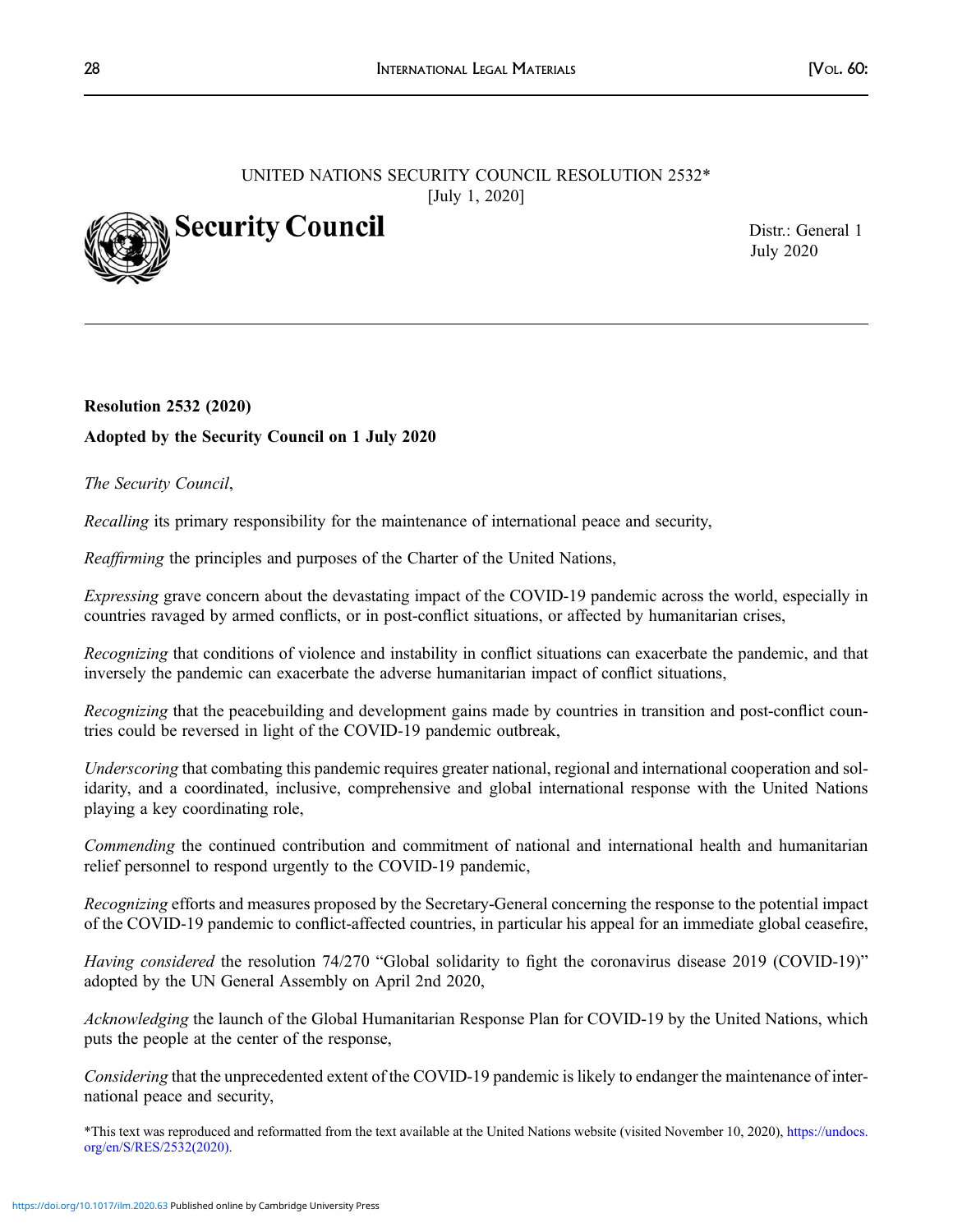# UNITED NATIONS SECURITY COUNCIL RESOLUTION 2532\* [July 1, 2020]



Distr.: General 1 July 2020

# Resolution 2532 (2020) Adopted by the Security Council on 1 July 2020

## The Security Council,

Recalling its primary responsibility for the maintenance of international peace and security,

Reaffirming the principles and purposes of the Charter of the United Nations,

Expressing grave concern about the devastating impact of the COVID-19 pandemic across the world, especially in countries ravaged by armed conflicts, or in post-conflict situations, or affected by humanitarian crises,

Recognizing that conditions of violence and instability in conflict situations can exacerbate the pandemic, and that inversely the pandemic can exacerbate the adverse humanitarian impact of conflict situations,

Recognizing that the peacebuilding and development gains made by countries in transition and post-conflict countries could be reversed in light of the COVID-19 pandemic outbreak,

Underscoring that combating this pandemic requires greater national, regional and international cooperation and solidarity, and a coordinated, inclusive, comprehensive and global international response with the United Nations playing a key coordinating role,

Commending the continued contribution and commitment of national and international health and humanitarian relief personnel to respond urgently to the COVID-19 pandemic,

Recognizing efforts and measures proposed by the Secretary-General concerning the response to the potential impact of the COVID-19 pandemic to conflict-affected countries, in particular his appeal for an immediate global ceasefire,

Having considered the resolution 74/270 "Global solidarity to fight the coronavirus disease 2019 (COVID-19)" adopted by the UN General Assembly on April 2nd 2020,

Acknowledging the launch of the Global Humanitarian Response Plan for COVID-19 by the United Nations, which puts the people at the center of the response,

Considering that the unprecedented extent of the COVID-19 pandemic is likely to endanger the maintenance of international peace and security,

\*This text was reproduced and reformatted from the text available at the United Nations website (visited November 10, 2020), https://undocs. org/en/S/RES/2532(2020).